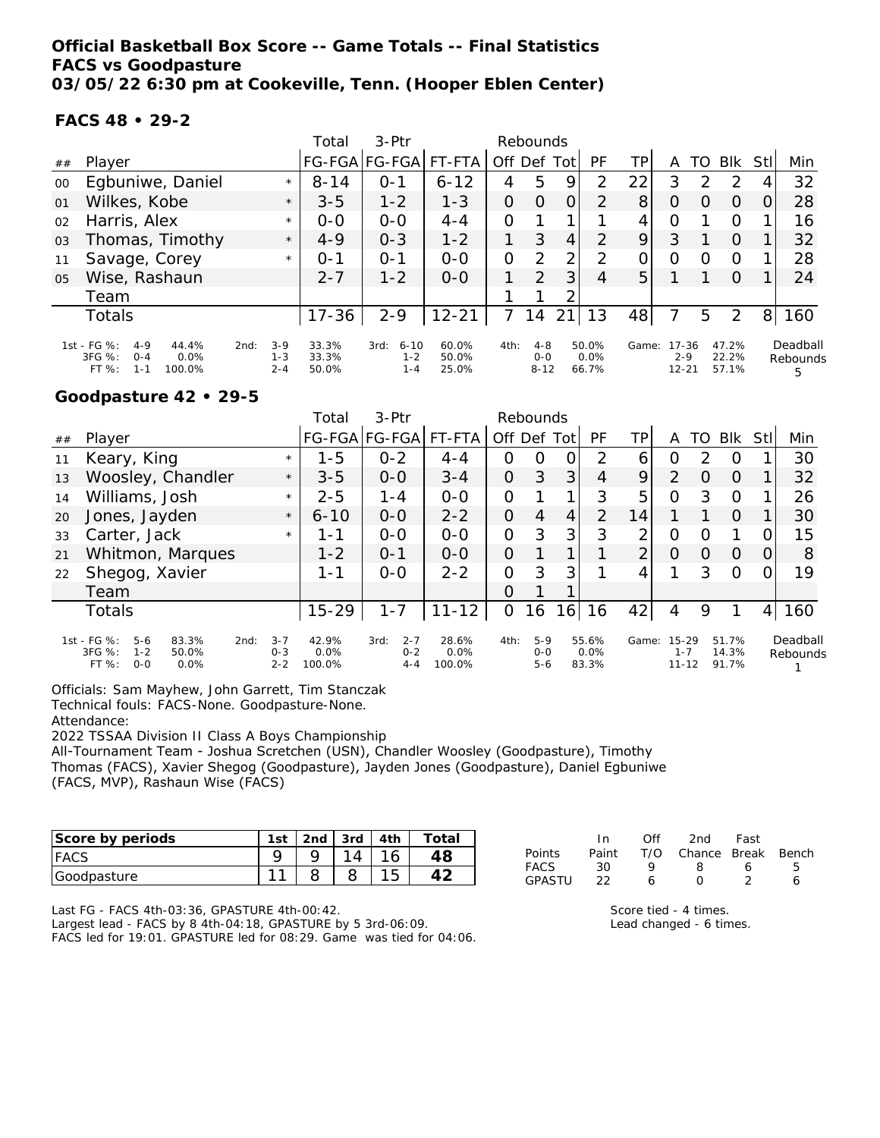**Official Basketball Box Score -- Game Totals -- Final Statistics FACS vs Goodpasture 03/05/22 6:30 pm at Cookeville, Tenn. (Hooper Eblen Center)**

#### **FACS 48 • 29-2**

|                |                                                                                                  |      |                             | Total                   | $3-Ptr$                                |                         |          | Rebounds                       |                |                        |                |                                   |                  |                         |                |                           |
|----------------|--------------------------------------------------------------------------------------------------|------|-----------------------------|-------------------------|----------------------------------------|-------------------------|----------|--------------------------------|----------------|------------------------|----------------|-----------------------------------|------------------|-------------------------|----------------|---------------------------|
| ##             | Player                                                                                           |      |                             |                         | FG-FGA FG-FGA                          | FT-FTA                  | Off Def  |                                | Totl           | PF                     | TPI            | Α                                 | TO               | <b>BIK</b>              | Stll           | Min                       |
| 00             | Egbuniwe, Daniel                                                                                 |      | $\star$                     | $8 - 14$                | $O - 1$                                | $6 - 12$                | 4        | 5                              | 9              | 2                      | 22             | 3                                 | っ                | 2                       | 4              | 32                        |
| 01             | Wilkes, Kobe                                                                                     |      | $\star$                     | $3 - 5$                 | $1 - 2$                                | $1 - 3$                 | $\Omega$ | $\Omega$                       | 0              | 2                      | 8 <sup>1</sup> | O                                 | O                | 0                       |                | 28                        |
| 02             | Harris, Alex                                                                                     |      | $\star$                     | $0 - 0$                 | $0 - 0$                                | $4 - 4$                 | 0        |                                |                |                        | 4              | O                                 |                  | O                       |                | 16                        |
| 03             | Thomas, Timothy                                                                                  |      | $\star$                     | $4 - 9$                 | $0 - 3$                                | $1 - 2$                 |          | 3                              | 4              | 2                      | 9              | 3                                 |                  | $\Omega$                |                | 32                        |
| 11             | Savage, Corey                                                                                    |      | $\star$                     | $0 - 1$                 | $O - 1$                                | $0 - 0$                 | 0        | 2                              | 2              | 2                      | Ο              | O                                 | $\left( \right)$ | O                       |                | 28                        |
| 0 <sub>5</sub> | Wise, Rashaun                                                                                    |      |                             | $2 - 7$                 | $1 - 2$                                | $0 - 0$                 |          | 2                              | 3              | 4                      | 5              |                                   |                  | $\Omega$                |                | 24                        |
|                | Team                                                                                             |      |                             |                         |                                        |                         |          |                                | 2              |                        |                |                                   |                  |                         |                |                           |
|                | Totals                                                                                           |      |                             | $17 - 36$               | $2 - 9$                                | $12 - 21$               | 7        | 14                             | $\overline{2}$ | 13                     | 48             |                                   | 5                | 2                       | 8 <sup>1</sup> | 160                       |
|                | 1st - FG %:<br>$4 - 9$<br>44.4%<br>$3FG \%$ :<br>0.0%<br>$O - 4$<br>$FT%$ :<br>$1 - 1$<br>100.0% | 2nd: | $3-9$<br>$1 - 3$<br>$2 - 4$ | 33.3%<br>33.3%<br>50.0% | $6 - 10$<br>3rd:<br>$1 - 2$<br>$1 - 4$ | 60.0%<br>50.0%<br>25.0% | 4th:     | $4 - 8$<br>$O - O$<br>$8 - 12$ |                | 50.0%<br>0.0%<br>66.7% | Game:          | $17 - 36$<br>$2 - 9$<br>$12 - 21$ |                  | 47.2%<br>22.2%<br>57.1% |                | Deadball<br>Rebounds<br>5 |

#### **Goodpasture 42 • 29-5**

|    |                                                                 |                           |      |                               | Total                   | $3-Ptr$                               |                            |                | Rebounds                  |                |                        |                |                                   |    |                         |         |                      |
|----|-----------------------------------------------------------------|---------------------------|------|-------------------------------|-------------------------|---------------------------------------|----------------------------|----------------|---------------------------|----------------|------------------------|----------------|-----------------------------------|----|-------------------------|---------|----------------------|
| ## | Player                                                          |                           |      |                               |                         | FG-FGA FG-FGA FT-FTA                  |                            | Off Def Tot    |                           |                | PF                     | TΡ             | A                                 | TO | Blk                     | Stll    | Min                  |
| 11 | Keary, King                                                     |                           |      | $\star$                       | $1 - 5$                 | $0 - 2$                               | $4 - 4$                    | Ο              | O                         | O              | 2                      | 6              | Ο                                 | フ  | O                       |         | 30                   |
| 13 | Woosley, Chandler                                               |                           |      | $\star$                       | $3 - 5$                 | $0 - 0$                               | $3 - 4$                    | $\overline{O}$ | 3                         | 3 <sub>l</sub> | $\overline{4}$         | 9              | $\overline{2}$                    | O  | $\Omega$                |         | 32                   |
| 14 | Williams, Josh                                                  |                           |      | $\star$                       | $2 - 5$                 | $1 - 4$                               | $0 - 0$                    | O              |                           | 1              | 3                      | 5              | O                                 | 3  | $\circ$                 |         | 26                   |
| 20 | Jones, Jayden                                                   |                           |      | $\star$                       | $6 - 10$                | $0 - 0$                               | $2 - 2$                    | $\Omega$       | 4                         | $\overline{4}$ | 2                      | 14             |                                   |    | $\Omega$                |         | 30                   |
| 33 | Carter, Jack                                                    |                           |      | $\star$                       | 1 - 1                   | $0 - 0$                               | $0 - 0$                    | $\overline{O}$ | 3                         | 3              | 3                      | 2              | 0                                 | Ω  |                         |         | 15                   |
| 21 | Whitmon, Marques                                                |                           |      |                               | $1 - 2$                 | $0 - 1$                               | $0 - 0$                    | $\Omega$       |                           |                |                        | $\overline{2}$ | O                                 | Ω  | $\Omega$                | 0       | 8                    |
| 22 | Shegog, Xavier                                                  |                           |      |                               | 1-1                     | $0 - 0$                               | $2 - 2$                    | $\overline{O}$ | 3                         | 3              |                        |                |                                   | 3  | $\Omega$                |         | 19                   |
|    | Team                                                            |                           |      |                               |                         |                                       |                            | O              |                           |                |                        |                |                                   |    |                         |         |                      |
|    | <b>Totals</b>                                                   |                           |      |                               | $15 - 29$               | $1 - 7$                               | $11 - 12$                  | O              | 16                        | 16             | 16                     | 42             | 4                                 | 9  |                         | $\vert$ | 160                  |
|    | 1st - FG %:<br>$5-6$<br>$3FG \%$<br>$1 - 2$<br>FT %:<br>$0 - 0$ | 83.3%<br>50.0%<br>$0.0\%$ | 2nd: | $3 - 7$<br>$0 - 3$<br>$2 - 2$ | 42.9%<br>0.0%<br>100.0% | $2 - 7$<br>3rd:<br>$0 - 2$<br>$4 - 4$ | 28.6%<br>$0.0\%$<br>100.0% | 4th:           | $5-9$<br>$O-O$<br>$5 - 6$ |                | 55.6%<br>0.0%<br>83.3% | Game:          | $15 - 29$<br>$1 - 7$<br>$11 - 12$ |    | 51.7%<br>14.3%<br>91.7% |         | Deadball<br>Rebounds |

Officials: Sam Mayhew, John Garrett, Tim Stanczak

Technical fouls: FACS-None. Goodpasture-None.

Attendance:

2022 TSSAA Division II Class A Boys Championship

All-Tournament Team - Joshua Scretchen (USN), Chandler Woosley (Goodpasture), Timothy Thomas (FACS), Xavier Shegog (Goodpasture), Jayden Jones (Goodpasture), Daniel Egbuniwe (FACS, MVP), Rashaun Wise (FACS)

| Score by periods | $1c+$  | 2 <sub>nd</sub> | 3rd | $4 + h$ | Total |
|------------------|--------|-----------------|-----|---------|-------|
| <b>FACS</b>      |        |                 |     |         |       |
| Goodpasture      | $\sim$ |                 |     |         |       |

|               | In.   | ∩ff | 2nd                    | Fast |   |
|---------------|-------|-----|------------------------|------|---|
| <b>Points</b> | Paint |     | T/O Chance Break Bench |      |   |
| <b>FACS</b>   | -30.  | o   | 8                      | 6    | ь |
| GPASTU        | フフ    | Ь   | $\mathbf{I}$           |      |   |

Last FG - FACS 4th-03:36, GPASTURE 4th-00:42.

Largest lead - FACS by 8 4th-04:18, GPASTURE by 5 3rd-06:09. FACS led for 19:01. GPASTURE led for 08:29. Game was tied for 04:06.

Score tied - 4 times. Lead changed - 6 times.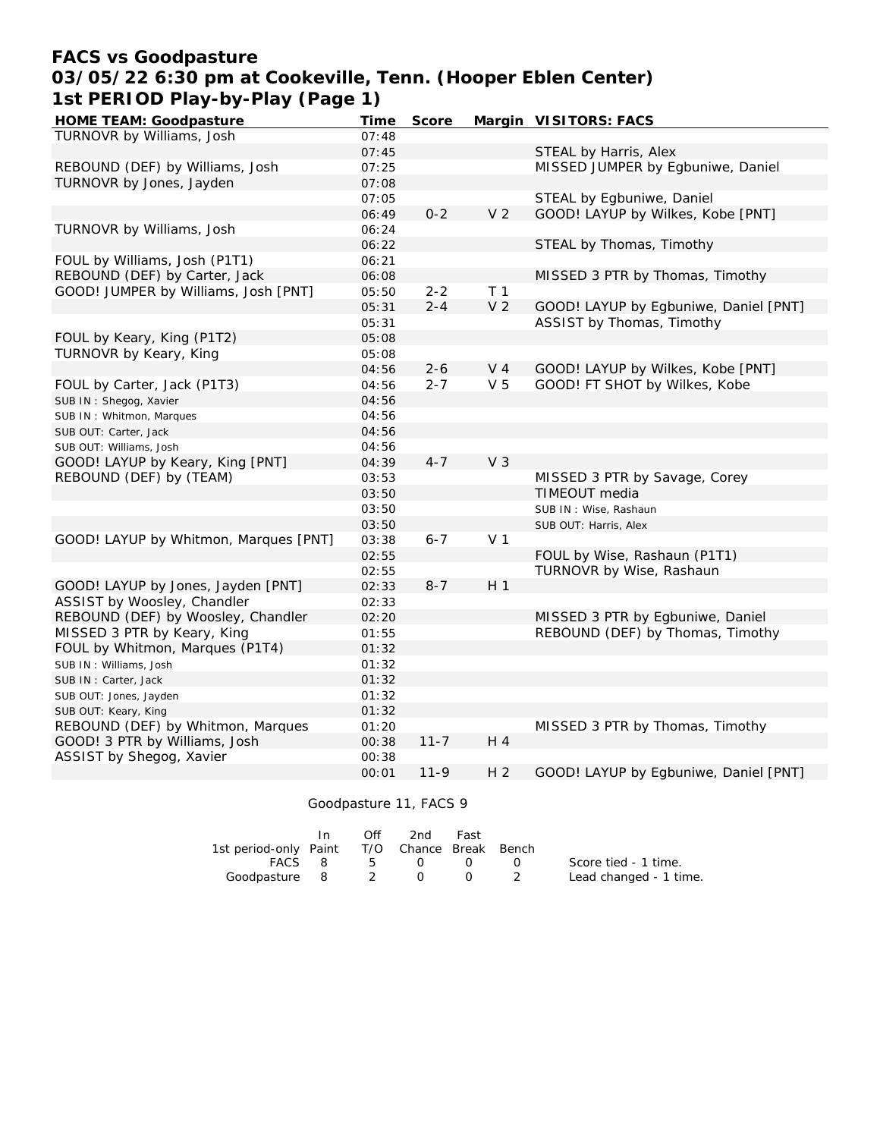### **FACS vs Goodpasture 03/05/22 6:30 pm at Cookeville, Tenn. (Hooper Eblen Center) 1st PERIOD Play-by-Play (Page 1)**

| HOME TEAM: Goodpasture                | Time  | Score    |                | Margin VISITORS: FACS                 |
|---------------------------------------|-------|----------|----------------|---------------------------------------|
| TURNOVR by Williams, Josh             | 07:48 |          |                |                                       |
|                                       | 07:45 |          |                | STEAL by Harris, Alex                 |
| REBOUND (DEF) by Williams, Josh       | 07:25 |          |                | MISSED JUMPER by Egbuniwe, Daniel     |
| TURNOVR by Jones, Jayden              | 07:08 |          |                |                                       |
|                                       | 07:05 |          |                | STEAL by Egbuniwe, Daniel             |
|                                       | 06:49 | $0 - 2$  | V <sub>2</sub> | GOOD! LAYUP by Wilkes, Kobe [PNT]     |
| TURNOVR by Williams, Josh             | 06:24 |          |                |                                       |
|                                       | 06:22 |          |                | STEAL by Thomas, Timothy              |
| FOUL by Williams, Josh (P1T1)         | 06:21 |          |                |                                       |
| REBOUND (DEF) by Carter, Jack         | 06:08 |          |                | MISSED 3 PTR by Thomas, Timothy       |
| GOOD! JUMPER by Williams, Josh [PNT]  | 05:50 | $2 - 2$  | T <sub>1</sub> |                                       |
|                                       | 05:31 | $2 - 4$  | V <sub>2</sub> | GOOD! LAYUP by Egbuniwe, Daniel [PNT] |
|                                       | 05:31 |          |                | ASSIST by Thomas, Timothy             |
| FOUL by Keary, King (P1T2)            | 05:08 |          |                |                                       |
| TURNOVR by Keary, King                | 05:08 |          |                |                                       |
|                                       | 04:56 | $2 - 6$  | V <sub>4</sub> | GOOD! LAYUP by Wilkes, Kobe [PNT]     |
| FOUL by Carter, Jack (P1T3)           | 04:56 | $2 - 7$  | V <sub>5</sub> | GOOD! FT SHOT by Wilkes, Kobe         |
| SUB IN: Shegog, Xavier                | 04:56 |          |                |                                       |
| SUB IN: Whitmon, Marques              | 04:56 |          |                |                                       |
| SUB OUT: Carter, Jack                 | 04:56 |          |                |                                       |
| SUB OUT: Williams, Josh               | 04:56 |          |                |                                       |
| GOOD! LAYUP by Keary, King [PNT]      | 04:39 | $4 - 7$  | V <sub>3</sub> |                                       |
| REBOUND (DEF) by (TEAM)               | 03:53 |          |                | MISSED 3 PTR by Savage, Corey         |
|                                       | 03:50 |          |                | TIMEOUT media                         |
|                                       | 03:50 |          |                | SUB IN: Wise, Rashaun                 |
|                                       | 03:50 |          |                | SUB OUT: Harris, Alex                 |
| GOOD! LAYUP by Whitmon, Marques [PNT] | 03:38 | $6 - 7$  | V <sub>1</sub> |                                       |
|                                       | 02:55 |          |                | FOUL by Wise, Rashaun (P1T1)          |
|                                       | 02:55 |          |                | TURNOVR by Wise, Rashaun              |
| GOOD! LAYUP by Jones, Jayden [PNT]    | 02:33 | $8 - 7$  | H <sub>1</sub> |                                       |
| ASSIST by Woosley, Chandler           | 02:33 |          |                |                                       |
| REBOUND (DEF) by Woosley, Chandler    | 02:20 |          |                | MISSED 3 PTR by Egbuniwe, Daniel      |
| MISSED 3 PTR by Keary, King           | 01:55 |          |                | REBOUND (DEF) by Thomas, Timothy      |
| FOUL by Whitmon, Marques (P1T4)       | 01:32 |          |                |                                       |
| SUB IN: Williams, Josh                | 01:32 |          |                |                                       |
| SUB IN: Carter, Jack                  | 01:32 |          |                |                                       |
| SUB OUT: Jones, Jayden                | 01:32 |          |                |                                       |
| SUB OUT: Keary, King                  | 01:32 |          |                |                                       |
| REBOUND (DEF) by Whitmon, Marques     | 01:20 |          |                | MISSED 3 PTR by Thomas, Timothy       |
| GOOD! 3 PTR by Williams, Josh         | 00:38 | $11 - 7$ | H 4            |                                       |
| ASSIST by Shegog, Xavier              | 00:38 |          |                |                                       |
|                                       | 00:01 | $11-9$   | H <sub>2</sub> | GOOD! LAYUP by Egbuniwe, Daniel [PNT] |

Goodpasture 11, FACS 9

|                                              | $\bigcap \{f\}$ | 2nd Fast       |  |                        |
|----------------------------------------------|-----------------|----------------|--|------------------------|
| 1st period-only Paint T/O Chance Break Bench |                 |                |  |                        |
|                                              |                 | FACS 8 5 0 0 0 |  | Score tied - 1 time.   |
| Goodpasture 8 2 0                            |                 |                |  | Lead changed - 1 time. |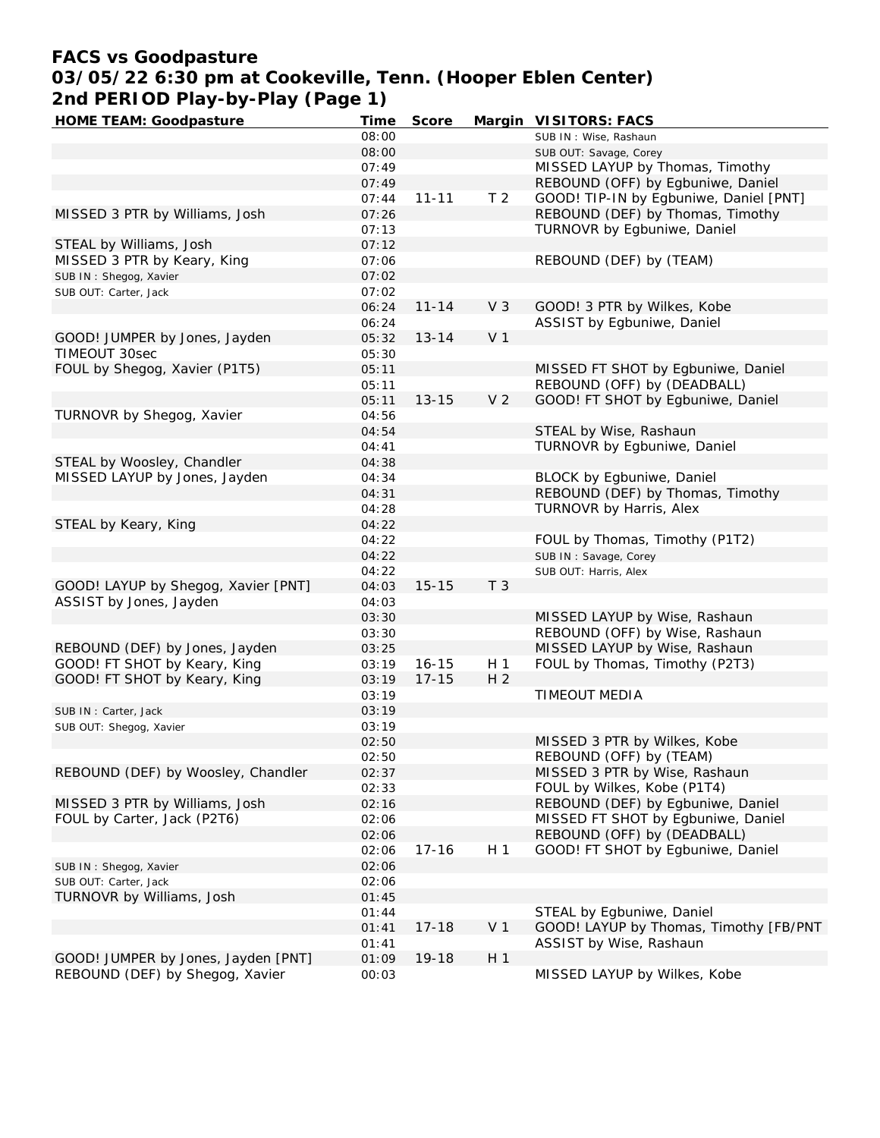## **FACS vs Goodpasture 03/05/22 6:30 pm at Cookeville, Tenn. (Hooper Eblen Center) 2nd PERIOD Play-by-Play (Page 1)**

| <b>HOME TEAM: Goodpasture</b>       | Time  | Score     |                | Margin VISITORS: FACS                  |
|-------------------------------------|-------|-----------|----------------|----------------------------------------|
|                                     | 08:00 |           |                | SUB IN: Wise, Rashaun                  |
|                                     | 08:00 |           |                | SUB OUT: Savage, Corey                 |
|                                     | 07:49 |           |                | MISSED LAYUP by Thomas, Timothy        |
|                                     | 07:49 |           |                | REBOUND (OFF) by Egbuniwe, Daniel      |
|                                     | 07:44 | $11 - 11$ | T <sub>2</sub> | GOOD! TIP-IN by Egbuniwe, Daniel [PNT] |
| MISSED 3 PTR by Williams, Josh      | 07:26 |           |                | REBOUND (DEF) by Thomas, Timothy       |
|                                     | 07:13 |           |                | TURNOVR by Egbuniwe, Daniel            |
| STEAL by Williams, Josh             | 07:12 |           |                |                                        |
| MISSED 3 PTR by Keary, King         | 07:06 |           |                | REBOUND (DEF) by (TEAM)                |
| SUB IN: Shegog, Xavier              | 07:02 |           |                |                                        |
| SUB OUT: Carter, Jack               | 07:02 |           |                |                                        |
|                                     | 06:24 | $11 - 14$ | $V_3$          | GOOD! 3 PTR by Wilkes, Kobe            |
|                                     | 06:24 |           |                | ASSIST by Egbuniwe, Daniel             |
| GOOD! JUMPER by Jones, Jayden       | 05:32 | $13 - 14$ | V <sub>1</sub> |                                        |
| TIMEOUT 30sec                       | 05:30 |           |                |                                        |
| FOUL by Shegog, Xavier (P1T5)       | 05:11 |           |                | MISSED FT SHOT by Egbuniwe, Daniel     |
|                                     | 05:11 |           |                | REBOUND (OFF) by (DEADBALL)            |
|                                     | 05:11 | $13 - 15$ | V <sub>2</sub> | GOOD! FT SHOT by Egbuniwe, Daniel      |
| TURNOVR by Shegog, Xavier           | 04:56 |           |                |                                        |
|                                     | 04:54 |           |                | STEAL by Wise, Rashaun                 |
|                                     | 04:41 |           |                | TURNOVR by Egbuniwe, Daniel            |
|                                     | 04:38 |           |                |                                        |
| STEAL by Woosley, Chandler          |       |           |                |                                        |
| MISSED LAYUP by Jones, Jayden       | 04:34 |           |                | BLOCK by Egbuniwe, Daniel              |
|                                     | 04:31 |           |                | REBOUND (DEF) by Thomas, Timothy       |
|                                     | 04:28 |           |                | TURNOVR by Harris, Alex                |
| STEAL by Keary, King                | 04:22 |           |                |                                        |
|                                     | 04:22 |           |                | FOUL by Thomas, Timothy (P1T2)         |
|                                     | 04:22 |           |                | SUB IN: Savage, Corey                  |
|                                     | 04:22 |           |                | SUB OUT: Harris, Alex                  |
| GOOD! LAYUP by Shegog, Xavier [PNT] | 04:03 | $15 - 15$ | T <sub>3</sub> |                                        |
| ASSIST by Jones, Jayden             | 04:03 |           |                |                                        |
|                                     | 03:30 |           |                | MISSED LAYUP by Wise, Rashaun          |
|                                     | 03:30 |           |                | REBOUND (OFF) by Wise, Rashaun         |
| REBOUND (DEF) by Jones, Jayden      | 03:25 |           |                | MISSED LAYUP by Wise, Rashaun          |
| GOOD! FT SHOT by Keary, King        | 03:19 | $16 - 15$ | H 1            | FOUL by Thomas, Timothy (P2T3)         |
| GOOD! FT SHOT by Keary, King        | 03:19 | $17 - 15$ | H <sub>2</sub> |                                        |
|                                     | 03:19 |           |                | TIMEOUT MEDIA                          |
| SUB IN: Carter, Jack                | 03:19 |           |                |                                        |
| SUB OUT: Shegog, Xavier             | 03:19 |           |                |                                        |
|                                     | 02:50 |           |                | MISSED 3 PTR by Wilkes, Kobe           |
|                                     | 02:50 |           |                | REBOUND (OFF) by (TEAM)                |
| REBOUND (DEF) by Woosley, Chandler  | 02:37 |           |                | MISSED 3 PTR by Wise, Rashaun          |
|                                     | 02:33 |           |                | FOUL by Wilkes, Kobe (P1T4)            |
| MISSED 3 PTR by Williams, Josh      | 02:16 |           |                | REBOUND (DEF) by Egbuniwe, Daniel      |
| FOUL by Carter, Jack (P2T6)         | 02:06 |           |                | MISSED FT SHOT by Egbuniwe, Daniel     |
|                                     | 02:06 |           |                | REBOUND (OFF) by (DEADBALL)            |
|                                     | 02:06 | $17 - 16$ | H 1            | GOOD! FT SHOT by Egbuniwe, Daniel      |
| SUB IN: Shegog, Xavier              | 02:06 |           |                |                                        |
| SUB OUT: Carter, Jack               | 02:06 |           |                |                                        |
| TURNOVR by Williams, Josh           | 01:45 |           |                |                                        |
|                                     | 01:44 |           |                | STEAL by Egbuniwe, Daniel              |
|                                     | 01:41 | $17 - 18$ | V <sub>1</sub> | GOOD! LAYUP by Thomas, Timothy [FB/PNT |
|                                     | 01:41 |           |                | ASSIST by Wise, Rashaun                |
| GOOD! JUMPER by Jones, Jayden [PNT] | 01:09 | 19-18     | H <sub>1</sub> |                                        |
| REBOUND (DEF) by Shegog, Xavier     | 00:03 |           |                | MISSED LAYUP by Wilkes, Kobe           |
|                                     |       |           |                |                                        |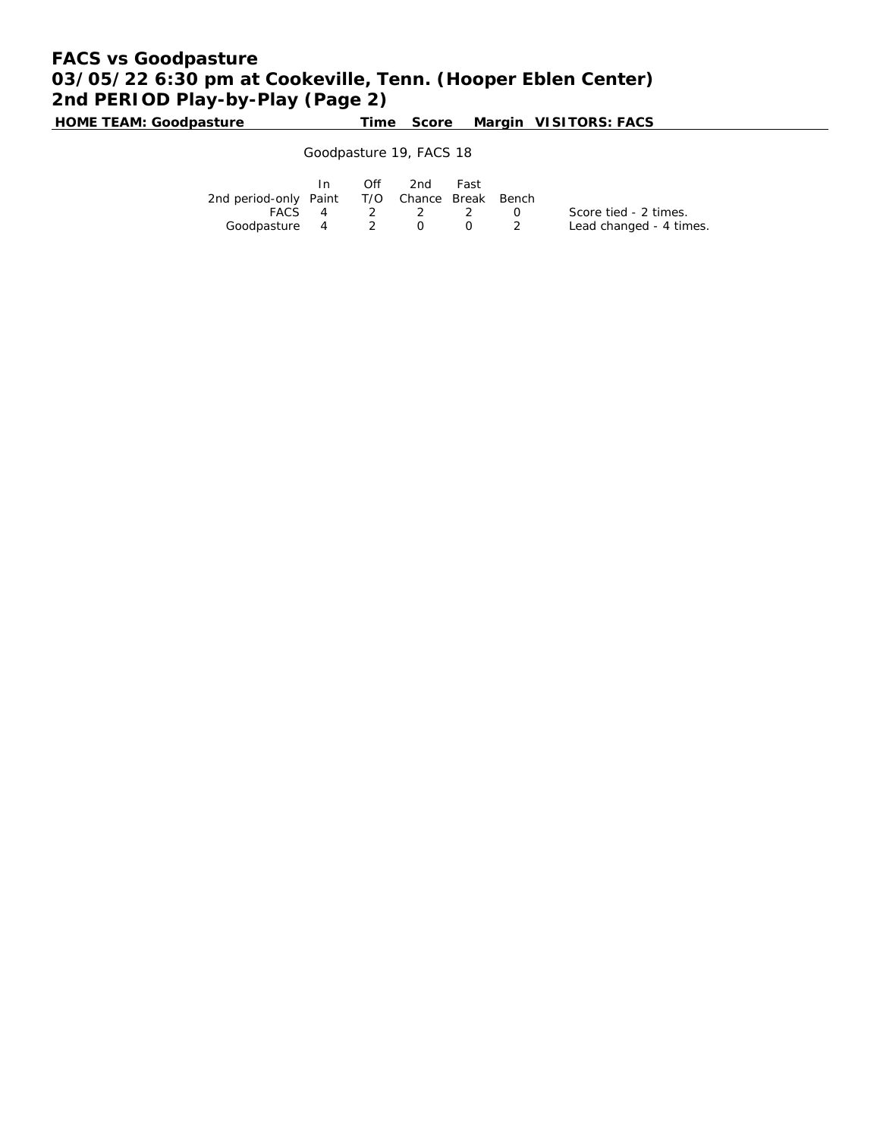# **FACS vs Goodpasture 03/05/22 6:30 pm at Cookeville, Tenn. (Hooper Eblen Center) 2nd PERIOD Play-by-Play (Page 2)**

**HOME TEAM: Goodpasture Time Score Margin VISITORS: FACS**

### Goodpasture 19, FACS 18

|                                              | $\mathsf{In}$ | $\overline{O}$ ff | 2nd Fast       |     |                         |
|----------------------------------------------|---------------|-------------------|----------------|-----|-------------------------|
| 2nd period-only Paint T/O Chance Break Bench |               |                   |                |     |                         |
|                                              |               |                   | FACS 4 2 2 2 0 |     | Score tied - 2 times.   |
| Goodpasture 4 2 0                            |               |                   |                | - 0 | Lead changed - 4 times. |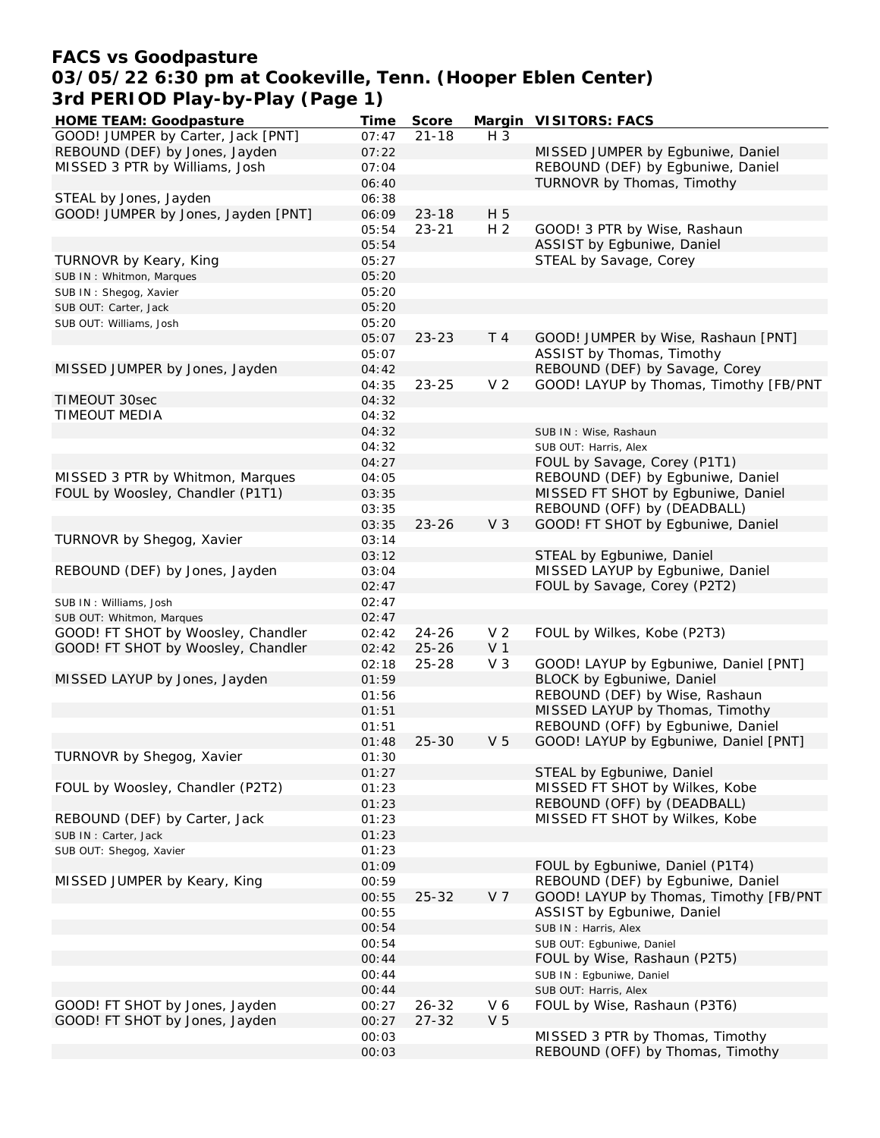### **FACS vs Goodpasture 03/05/22 6:30 pm at Cookeville, Tenn. (Hooper Eblen Center) 3rd PERIOD Play-by-Play (Page 1)**

| <b>HOME TEAM: Goodpasture</b>       | Time  | Score     |                | Margin VISITORS: FACS                  |
|-------------------------------------|-------|-----------|----------------|----------------------------------------|
| GOOD! JUMPER by Carter, Jack [PNT]  | 07:47 | $21 - 18$ | $H_3$          |                                        |
| REBOUND (DEF) by Jones, Jayden      | 07:22 |           |                | MISSED JUMPER by Egbuniwe, Daniel      |
| MISSED 3 PTR by Williams, Josh      | 07:04 |           |                | REBOUND (DEF) by Egbuniwe, Daniel      |
|                                     | 06:40 |           |                | TURNOVR by Thomas, Timothy             |
| STEAL by Jones, Jayden              | 06:38 |           |                |                                        |
| GOOD! JUMPER by Jones, Jayden [PNT] | 06:09 | $23 - 18$ | H 5            |                                        |
|                                     | 05:54 | $23 - 21$ | H <sub>2</sub> | GOOD! 3 PTR by Wise, Rashaun           |
|                                     | 05:54 |           |                | ASSIST by Egbuniwe, Daniel             |
| TURNOVR by Keary, King              | 05:27 |           |                | STEAL by Savage, Corey                 |
| SUB IN: Whitmon, Marques            | 05:20 |           |                |                                        |
| SUB IN: Shegog, Xavier              | 05:20 |           |                |                                        |
|                                     | 05:20 |           |                |                                        |
| SUB OUT: Carter, Jack               |       |           |                |                                        |
| SUB OUT: Williams, Josh             | 05:20 |           |                |                                        |
|                                     | 05:07 | $23 - 23$ | T 4            | GOOD! JUMPER by Wise, Rashaun [PNT]    |
|                                     | 05:07 |           |                | ASSIST by Thomas, Timothy              |
| MISSED JUMPER by Jones, Jayden      | 04:42 |           |                | REBOUND (DEF) by Savage, Corey         |
|                                     | 04:35 | $23 - 25$ | V <sub>2</sub> | GOOD! LAYUP by Thomas, Timothy [FB/PNT |
| TIMEOUT 30sec                       | 04:32 |           |                |                                        |
| <b>TIMEOUT MEDIA</b>                | 04:32 |           |                |                                        |
|                                     | 04:32 |           |                | SUB IN: Wise, Rashaun                  |
|                                     | 04:32 |           |                | SUB OUT: Harris, Alex                  |
|                                     | 04:27 |           |                | FOUL by Savage, Corey (P1T1)           |
| MISSED 3 PTR by Whitmon, Marques    | 04:05 |           |                | REBOUND (DEF) by Egbuniwe, Daniel      |
| FOUL by Woosley, Chandler (P1T1)    | 03:35 |           |                | MISSED FT SHOT by Egbuniwe, Daniel     |
|                                     | 03:35 |           |                | REBOUND (OFF) by (DEADBALL)            |
|                                     | 03:35 | $23 - 26$ | V <sub>3</sub> | GOOD! FT SHOT by Egbuniwe, Daniel      |
| TURNOVR by Shegog, Xavier           | 03:14 |           |                |                                        |
|                                     | 03:12 |           |                | STEAL by Egbuniwe, Daniel              |
| REBOUND (DEF) by Jones, Jayden      | 03:04 |           |                | MISSED LAYUP by Egbuniwe, Daniel       |
|                                     | 02:47 |           |                | FOUL by Savage, Corey (P2T2)           |
| SUB IN: Williams, Josh              | 02:47 |           |                |                                        |
| SUB OUT: Whitmon, Marques           | 02:47 |           |                |                                        |
| GOOD! FT SHOT by Woosley, Chandler  | 02:42 | $24 - 26$ | V <sub>2</sub> | FOUL by Wilkes, Kobe (P2T3)            |
| GOOD! FT SHOT by Woosley, Chandler  | 02:42 | $25 - 26$ | V <sub>1</sub> |                                        |
|                                     |       |           | V <sub>3</sub> |                                        |
|                                     | 02:18 | $25 - 28$ |                | GOOD! LAYUP by Egbuniwe, Daniel [PNT]  |
| MISSED LAYUP by Jones, Jayden       | 01:59 |           |                | BLOCK by Egbuniwe, Daniel              |
|                                     | 01:56 |           |                | REBOUND (DEF) by Wise, Rashaun         |
|                                     | 01:51 |           |                | MISSED LAYUP by Thomas, Timothy        |
|                                     | 01:51 |           |                | REBOUND (OFF) by Egbuniwe, Daniel      |
|                                     | 01:48 | $25 - 30$ | V <sub>5</sub> | GOOD! LAYUP by Egbuniwe, Daniel [PNT]  |
| TURNOVR by Shegog, Xavier           | 01:30 |           |                |                                        |
|                                     | 01:27 |           |                | STEAL by Egbuniwe, Daniel              |
| FOUL by Woosley, Chandler (P2T2)    | 01:23 |           |                | MISSED FT SHOT by Wilkes, Kobe         |
|                                     | 01:23 |           |                | REBOUND (OFF) by (DEADBALL)            |
| REBOUND (DEF) by Carter, Jack       | 01:23 |           |                | MISSED FT SHOT by Wilkes, Kobe         |
| SUB IN: Carter, Jack                | 01:23 |           |                |                                        |
| SUB OUT: Shegog, Xavier             | 01:23 |           |                |                                        |
|                                     | 01:09 |           |                | FOUL by Egbuniwe, Daniel (P1T4)        |
| MISSED JUMPER by Keary, King        | 00:59 |           |                | REBOUND (DEF) by Egbuniwe, Daniel      |
|                                     | 00:55 | $25 - 32$ | V <sub>7</sub> | GOOD! LAYUP by Thomas, Timothy [FB/PNT |
|                                     | 00:55 |           |                | ASSIST by Egbuniwe, Daniel             |
|                                     | 00:54 |           |                | SUB IN: Harris, Alex                   |
|                                     | 00:54 |           |                | SUB OUT: Egbuniwe, Daniel              |
|                                     | 00:44 |           |                | FOUL by Wise, Rashaun (P2T5)           |
|                                     | 00:44 |           |                | SUB IN : Egbuniwe, Daniel              |
|                                     |       |           |                |                                        |
| GOOD! FT SHOT by Jones, Jayden      | 00:44 |           |                | SUB OUT: Harris, Alex                  |
|                                     | 00:27 | $26 - 32$ | V6             | FOUL by Wise, Rashaun (P3T6)           |
| GOOD! FT SHOT by Jones, Jayden      | 00:27 | $27 - 32$ | V <sub>5</sub> |                                        |
|                                     | 00:03 |           |                | MISSED 3 PTR by Thomas, Timothy        |
|                                     | 00:03 |           |                | REBOUND (OFF) by Thomas, Timothy       |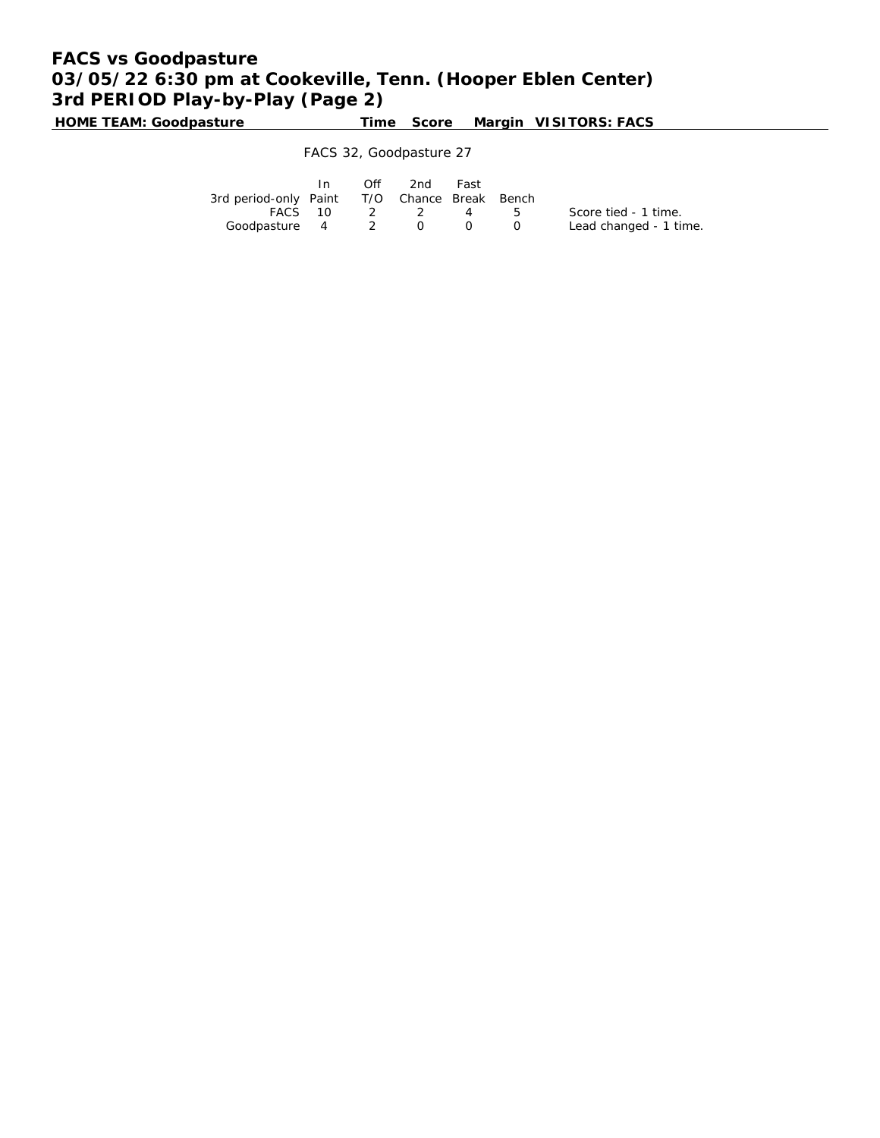# **FACS vs Goodpasture 03/05/22 6:30 pm at Cookeville, Tenn. (Hooper Eblen Center) 3rd PERIOD Play-by-Play (Page 2)**

**HOME TEAM: Goodpasture Time Score Margin VISITORS: FACS**

FACS 32, Goodpasture 27

|                                              | In 1 | Off 2nd     | Fast |                                               |                        |
|----------------------------------------------|------|-------------|------|-----------------------------------------------|------------------------|
| 3rd period-only Paint T/O Chance Break Bench |      |             |      |                                               |                        |
|                                              |      | FACS 10 2 2 | 4 5  |                                               | Score tied - 1 time.   |
| Goodpasture 4 2 0                            |      |             |      | $\left( \begin{array}{c} \end{array} \right)$ | Lead changed - 1 time. |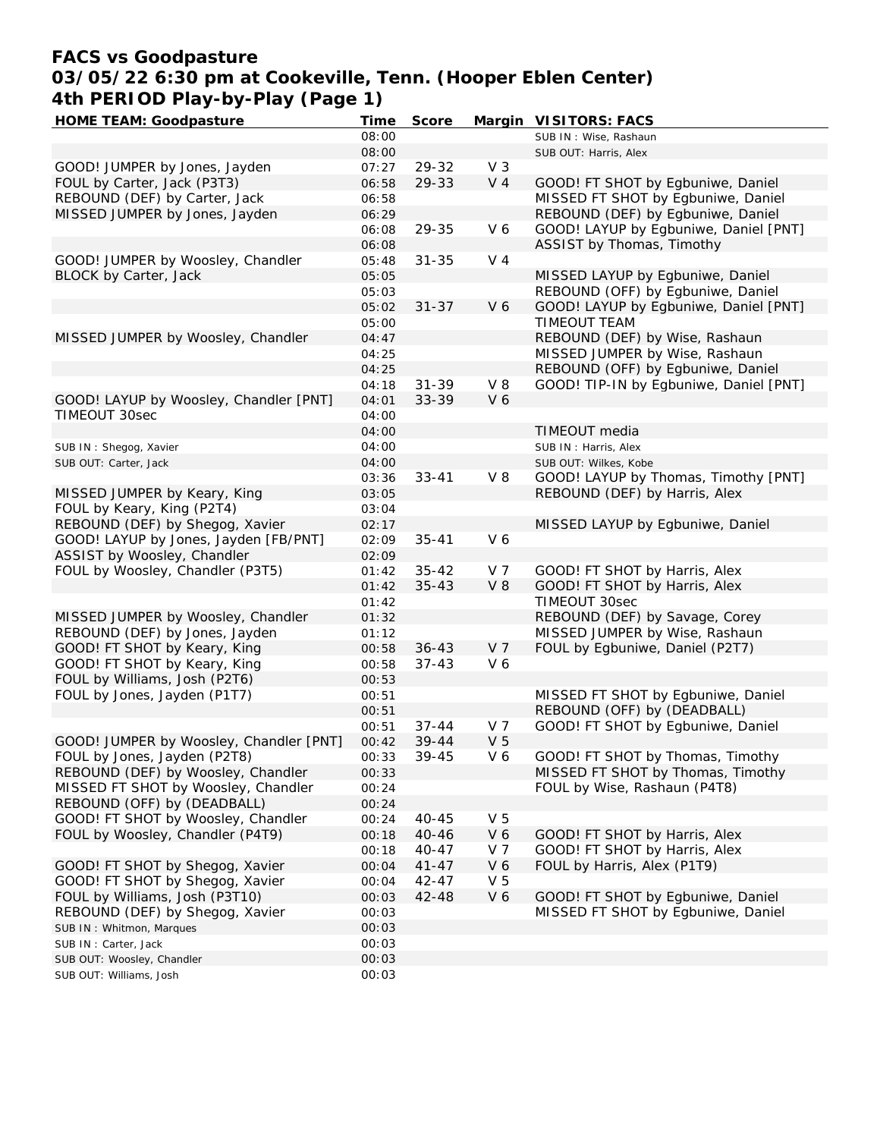## **FACS vs Goodpasture 03/05/22 6:30 pm at Cookeville, Tenn. (Hooper Eblen Center) 4th PERIOD Play-by-Play (Page 1)**

| <b>HOME TEAM: Goodpasture</b>           | Time  | Score     |                | Margin VISITORS: FACS                  |
|-----------------------------------------|-------|-----------|----------------|----------------------------------------|
|                                         | 08:00 |           |                | SUB IN: Wise, Rashaun                  |
|                                         | 08:00 |           |                | SUB OUT: Harris, Alex                  |
| GOOD! JUMPER by Jones, Jayden           | 07:27 | 29-32     | V <sub>3</sub> |                                        |
| FOUL by Carter, Jack (P3T3)             | 06:58 | 29-33     | V <sub>4</sub> | GOOD! FT SHOT by Egbuniwe, Daniel      |
| REBOUND (DEF) by Carter, Jack           | 06:58 |           |                | MISSED FT SHOT by Egbuniwe, Daniel     |
| MISSED JUMPER by Jones, Jayden          | 06:29 |           |                | REBOUND (DEF) by Egbuniwe, Daniel      |
|                                         | 06:08 | 29-35     | V6             | GOOD! LAYUP by Egbuniwe, Daniel [PNT]  |
|                                         | 06:08 |           |                | ASSIST by Thomas, Timothy              |
| GOOD! JUMPER by Woosley, Chandler       | 05:48 | $31 - 35$ | V <sub>4</sub> |                                        |
| BLOCK by Carter, Jack                   | 05:05 |           |                | MISSED LAYUP by Egbuniwe, Daniel       |
|                                         | 05:03 |           |                | REBOUND (OFF) by Egbuniwe, Daniel      |
|                                         | 05:02 | $31 - 37$ | V 6            | GOOD! LAYUP by Egbuniwe, Daniel [PNT]  |
|                                         | 05:00 |           |                | <b>TIMEOUT TEAM</b>                    |
| MISSED JUMPER by Woosley, Chandler      | 04:47 |           |                | REBOUND (DEF) by Wise, Rashaun         |
|                                         | 04:25 |           |                | MISSED JUMPER by Wise, Rashaun         |
|                                         | 04:25 |           |                | REBOUND (OFF) by Egbuniwe, Daniel      |
|                                         |       |           |                |                                        |
|                                         | 04:18 | $31 - 39$ | $V_8$          | GOOD! TIP-IN by Egbuniwe, Daniel [PNT] |
| GOOD! LAYUP by Woosley, Chandler [PNT]  | 04:01 | 33-39     | V6             |                                        |
| TIMEOUT 30sec                           | 04:00 |           |                |                                        |
|                                         | 04:00 |           |                | TIMEOUT media                          |
| SUB IN: Shegog, Xavier                  | 04:00 |           |                | SUB IN: Harris, Alex                   |
| SUB OUT: Carter, Jack                   | 04:00 |           |                | SUB OUT: Wilkes, Kobe                  |
|                                         | 03:36 | $33 - 41$ | $V_8$          | GOOD! LAYUP by Thomas, Timothy [PNT]   |
| MISSED JUMPER by Keary, King            | 03:05 |           |                | REBOUND (DEF) by Harris, Alex          |
| FOUL by Keary, King (P2T4)              | 03:04 |           |                |                                        |
| REBOUND (DEF) by Shegog, Xavier         | 02:17 |           |                | MISSED LAYUP by Egbuniwe, Daniel       |
| GOOD! LAYUP by Jones, Jayden [FB/PNT]   | 02:09 | $35 - 41$ | V 6            |                                        |
| ASSIST by Woosley, Chandler             | 02:09 |           |                |                                        |
| FOUL by Woosley, Chandler (P3T5)        | 01:42 | $35 - 42$ | V 7            | GOOD! FT SHOT by Harris, Alex          |
|                                         | 01:42 | $35 - 43$ | V8             | GOOD! FT SHOT by Harris, Alex          |
|                                         | 01:42 |           |                | TIMEOUT 30sec                          |
| MISSED JUMPER by Woosley, Chandler      | 01:32 |           |                | REBOUND (DEF) by Savage, Corey         |
| REBOUND (DEF) by Jones, Jayden          | 01:12 |           |                | MISSED JUMPER by Wise, Rashaun         |
| GOOD! FT SHOT by Keary, King            | 00:58 | $36 - 43$ | V <sub>7</sub> | FOUL by Egbuniwe, Daniel (P2T7)        |
| GOOD! FT SHOT by Keary, King            | 00:58 | $37 - 43$ | V6             |                                        |
| FOUL by Williams, Josh (P2T6)           | 00:53 |           |                |                                        |
| FOUL by Jones, Jayden (P1T7)            | 00:51 |           |                | MISSED FT SHOT by Egbuniwe, Daniel     |
|                                         | 00:51 |           |                | REBOUND (OFF) by (DEADBALL)            |
|                                         | 00:51 | $37 - 44$ | V <sub>7</sub> | GOOD! FT SHOT by Egbuniwe, Daniel      |
| GOOD! JUMPER by Woosley, Chandler [PNT] | 00:42 | $39 - 44$ | V <sub>5</sub> |                                        |
| FOUL by Jones, Jayden (P2T8)            | 00:33 | 39-45     | V6             | GOOD! FT SHOT by Thomas, Timothy       |
| REBOUND (DEF) by Woosley, Chandler      | 00:33 |           |                | MISSED FT SHOT by Thomas, Timothy      |
| MISSED FT SHOT by Woosley, Chandler     | 00:24 |           |                | FOUL by Wise, Rashaun (P4T8)           |
| REBOUND (OFF) by (DEADBALL)             | 00:24 |           |                |                                        |
| GOOD! FT SHOT by Woosley, Chandler      | 00:24 | $40 - 45$ | V <sub>5</sub> |                                        |
| FOUL by Woosley, Chandler (P4T9)        | 00:18 | $40 - 46$ | V6             | GOOD! FT SHOT by Harris, Alex          |
|                                         | 00:18 | $40 - 47$ | V 7            | GOOD! FT SHOT by Harris, Alex          |
| GOOD! FT SHOT by Shegog, Xavier         |       |           | V6             | FOUL by Harris, Alex (P1T9)            |
|                                         | 00:04 | $41 - 47$ |                |                                        |
| GOOD! FT SHOT by Shegog, Xavier         | 00:04 | 42-47     | V <sub>5</sub> |                                        |
| FOUL by Williams, Josh (P3T10)          | 00:03 | $42 - 48$ | V6             | GOOD! FT SHOT by Egbuniwe, Daniel      |
| REBOUND (DEF) by Shegog, Xavier         | 00:03 |           |                | MISSED FT SHOT by Egbuniwe, Daniel     |
| SUB IN: Whitmon, Marques                | 00:03 |           |                |                                        |
| SUB IN: Carter, Jack                    | 00:03 |           |                |                                        |
| SUB OUT: Woosley, Chandler              | 00:03 |           |                |                                        |
| SUB OUT: Williams, Josh                 | 00:03 |           |                |                                        |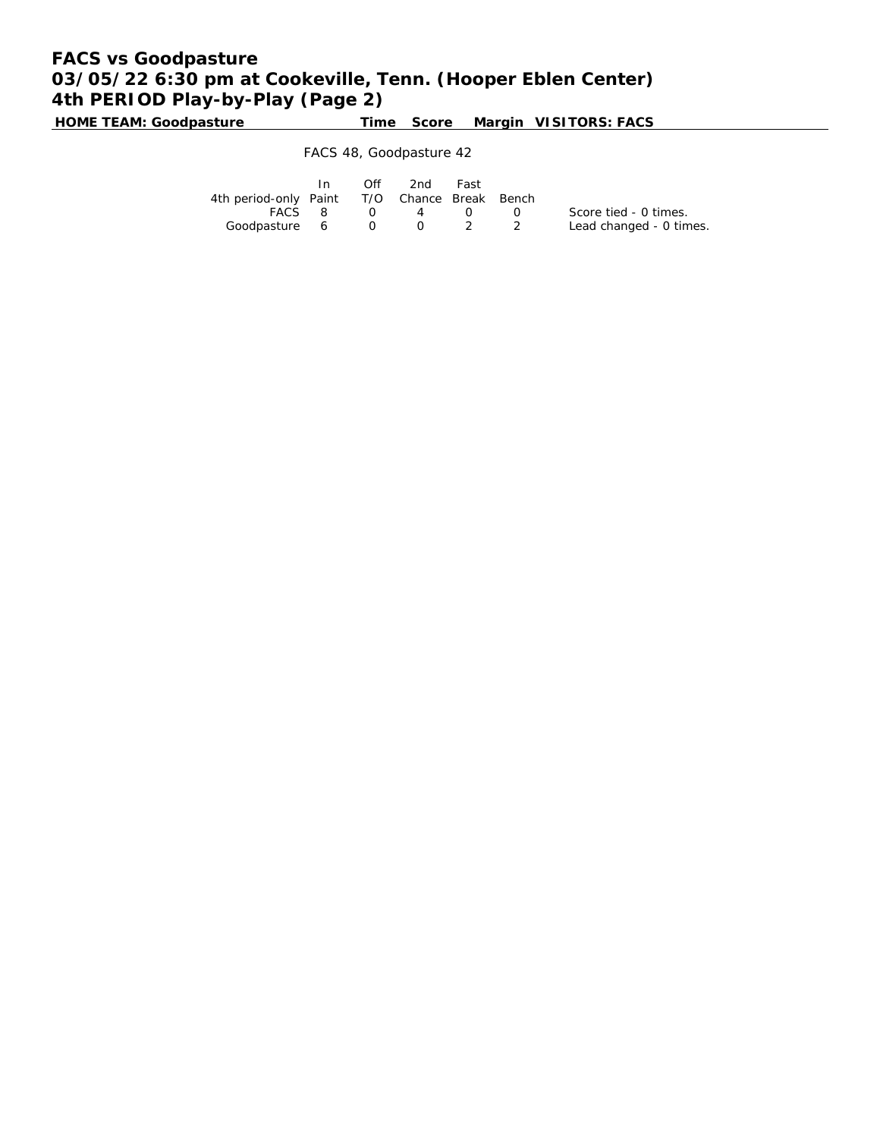# **FACS vs Goodpasture 03/05/22 6:30 pm at Cookeville, Tenn. (Hooper Eblen Center) 4th PERIOD Play-by-Play (Page 2)**

**HOME TEAM: Goodpasture Time Score Margin VISITORS: FACS**

### FACS 48, Goodpasture 42

|                                              | $\ln$  | Off | 2nd Fast                                    |                |                         |
|----------------------------------------------|--------|-----|---------------------------------------------|----------------|-------------------------|
| 4th period-only Paint T/O Chance Break Bench |        |     |                                             |                |                         |
|                                              | FACS 8 |     | $\begin{array}{cccc} 0 & 4 & 0 \end{array}$ | $\overline{0}$ | Score tied - 0 times.   |
| Goodpasture 6 0 0 2 2                        |        |     |                                             |                | Lead changed - 0 times. |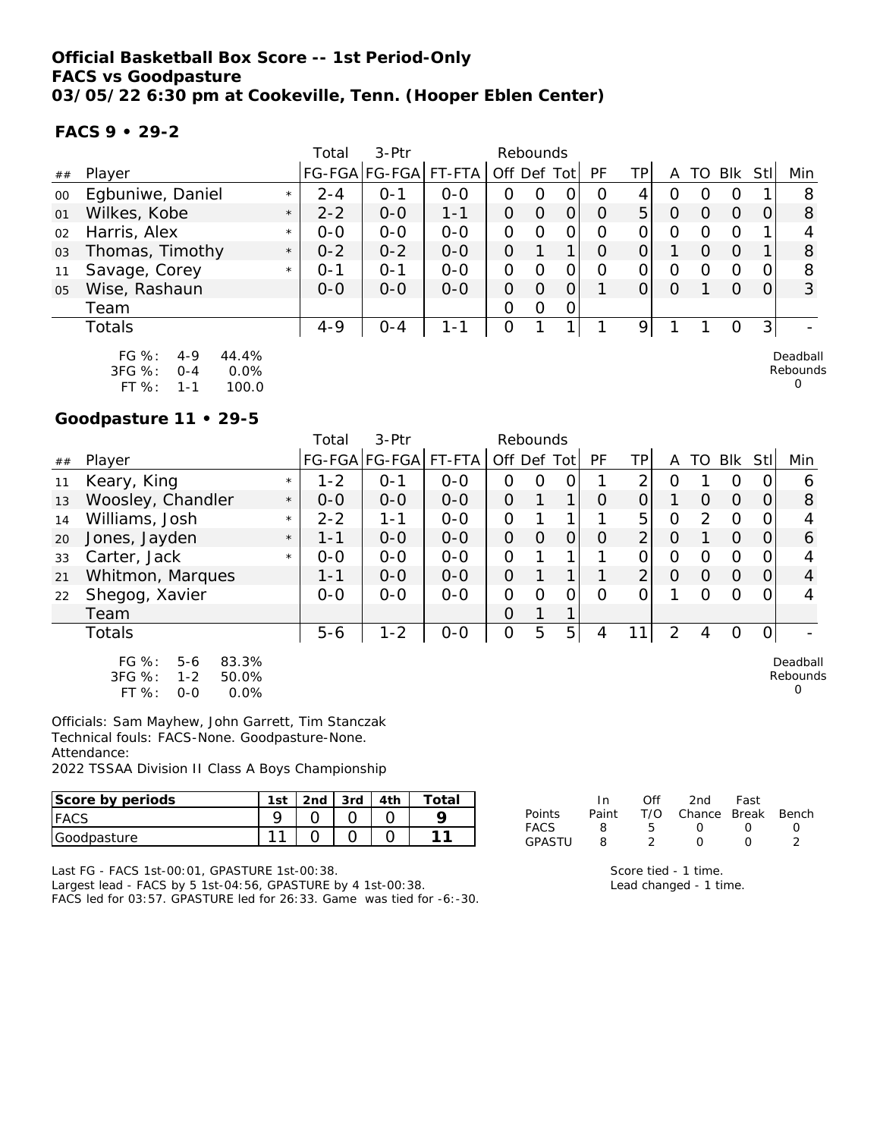**FACS 9 • 29-2**

|        |                                                            |         | Total   | 3-Ptr                |         | Rebounds       |          |   |          |                |                  |                  |          |                |                      |
|--------|------------------------------------------------------------|---------|---------|----------------------|---------|----------------|----------|---|----------|----------------|------------------|------------------|----------|----------------|----------------------|
| ##     | Player                                                     |         |         | FG-FGA FG-FGA FT-FTA |         | Off Def Tot    |          |   | PF       | TPI            | Α                | TO               | Blk      | Stll           | Min                  |
| $00\,$ | Egbuniwe, Daniel                                           | $\star$ | $2 - 4$ | $O - 1$              | $0 - 0$ | O              | O        | 0 | O        | 4              | $\left( \right)$ |                  | O        |                | 8                    |
| 01     | Wilkes, Kobe                                               | $\star$ | $2 - 2$ | $0 - 0$              | $1 - 1$ | 0              | $\Omega$ | 0 | $\Omega$ | 5 <sup>1</sup> | $\Omega$         |                  | O        |                | 8                    |
| 02     | Harris, Alex                                               | $\star$ | $0 - 0$ | $0 - 0$              | $0 - 0$ | 0              | $\Omega$ | 0 | $\Omega$ | 0              | O                | $\left( \right)$ | $\Omega$ |                |                      |
| 03     | Thomas, Timothy                                            | $\star$ | $0 - 2$ | $0 - 2$              | $0 - 0$ | $\overline{O}$ |          |   | O        |                |                  | O                | 0        |                | 8                    |
| 11     | Savage, Corey                                              | $\star$ | $O - 1$ | $O - 1$              | $0 - 0$ | 0              | O        | 0 | $\Omega$ | 0              | O                | O                | O        | O.             | 8                    |
| 05     | Wise, Rashaun                                              |         | $0 - 0$ | $0 - 0$              | $0 - 0$ | $\Omega$       | $\Omega$ | 0 |          | 0              | $\circ$          |                  | $\Omega$ | $\Omega$       | 3                    |
|        | Team                                                       |         |         |                      |         | 0              | 0        | 0 |          |                |                  |                  |          |                |                      |
|        | Totals                                                     |         | $4 - 9$ | $O - 4$              | $1 - 1$ | O              |          |   |          | 9              |                  |                  | Ο        | 3 <sup>1</sup> |                      |
|        | $FG \%$ :<br>44.4%<br>$4 - 9$<br>3FG %:<br>0.0%<br>$O - 4$ |         |         |                      |         |                |          |   |          |                |                  |                  |          |                | Deadball<br>Rebounds |

 $\Omega$ 

**Goodpasture 11 • 29-5**

FT %: 1-1 100.0

|    |                                                           |         | Total   | $3-Ptr$               |         | Rebounds       |          |                |           |                |                |               |                |          |                      |
|----|-----------------------------------------------------------|---------|---------|-----------------------|---------|----------------|----------|----------------|-----------|----------------|----------------|---------------|----------------|----------|----------------------|
| ## | Player                                                    |         |         | FG-FGA FG-FGA  FT-FTA |         | Off Def Tot    |          |                | <b>PF</b> | ΤP             | A              | TO            | <b>Blk</b>     | Stll     | Min                  |
| 11 | Keary, King                                               | $\star$ | $1 - 2$ | $0 - 1$               | $0-0$   | 0              | 0        | 0              |           | 2              | O              |               | 0              | 0        | 6                    |
| 13 | Woosley, Chandler                                         | $\star$ | $0 - 0$ | $0 - 0$               | $0 - 0$ | $\overline{O}$ |          | 1              | $\Omega$  | O              |                | 0             | $\overline{O}$ | 0        | 8                    |
| 14 | Williams, Josh                                            | $\star$ | $2 - 2$ | 1-1                   | $0-0$   | 0              |          | 1              |           | 5 <sub>1</sub> | $\overline{O}$ | $\mathcal{P}$ | $\Omega$       | 0        | 4                    |
| 20 | Jones, Jayden                                             | $\star$ | $1 - 1$ | $0-0$                 | $0-0$   | 0              | 0        | $\overline{O}$ | $\Omega$  | $\overline{2}$ | 0              |               | $\overline{O}$ | 0        | 6                    |
| 33 | Carter, Jack                                              | $\star$ | $0 - 0$ | $0 - 0$               | $0-0$   | $\overline{O}$ |          | 1              |           | 0              | $\overline{O}$ | O             | $\overline{O}$ | 0        | 4                    |
| 21 | Whitmon, Marques                                          |         | $1 - 1$ | $0 - 0$               | $0 - 0$ | O              |          |                |           | $\overline{2}$ | $\Omega$       | $\Omega$      | $\Omega$       | $\Omega$ | 4                    |
| 22 | Shegog, Xavier                                            |         | $0 - 0$ | $0 - 0$               | $0 - 0$ | 0              | $\Omega$ | 0              | $\Omega$  | 0              | 1              | 0             | 0              | 0        | 4                    |
|    | Team                                                      |         |         |                       |         | 0              |          | 1              |           |                |                |               |                |          |                      |
|    | <b>Totals</b>                                             |         | $5 - 6$ | $1 - 2$               | $0 - 0$ | $\overline{O}$ | 5        | 5              | 4         | 11             | 2              | 4             | O              | 0        |                      |
|    | $FG \%$ :<br>83.3%<br>$5-6$<br>3FG %:<br>$1 - 2$<br>50.0% |         |         |                       |         |                |          |                |           |                |                |               |                |          | Deadball<br>Rebounds |

Rebounds 0

Officials: Sam Mayhew, John Garrett, Tim Stanczak Technical fouls: FACS-None. Goodpasture-None. Attendance:

2022 TSSAA Division II Class A Boys Championship

| Score by periods | 1st    | 2 <sub>nd</sub> | 3rd | Totai |
|------------------|--------|-----------------|-----|-------|
| <b>FACS</b>      |        |                 |     |       |
| Goodpasture      | $\sim$ |                 |     |       |

Last FG - FACS 1st-00:01, GPASTURE 1st-00:38.

FT %: 0-0 0.0%

Largest lead - FACS by 5 1st-04:56, GPASTURE by 4 1st-00:38. FACS led for 03:57. GPASTURE led for 26:33. Game was tied for -6:-30.

|               | In In | Off            | 2nd                    | Fast             |  |
|---------------|-------|----------------|------------------------|------------------|--|
| <b>Points</b> | Paint |                | T/O Chance Break Bench |                  |  |
| FACS          | 8     | 5.             | $\left( \right)$       | $\left( \right)$ |  |
| <b>GPASTU</b> | Я     | $\overline{2}$ | $\Omega$               | $\cap$           |  |
|               |       |                |                        |                  |  |

Score tied - 1 time. Lead changed - 1 time.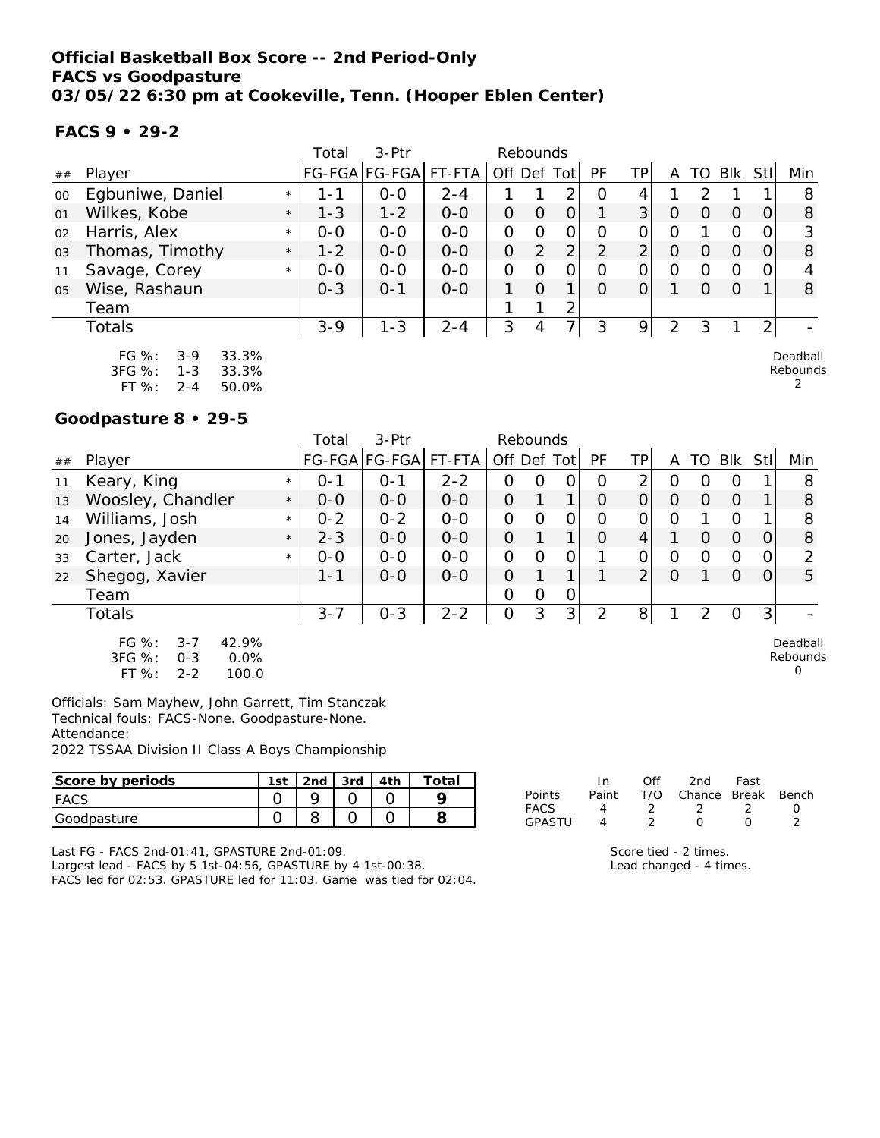**FACS 9 • 29-2**

|        |                                                           |         | Total   | 3-Ptr                |         | Rebounds       |                |   |          |          |               |    |          |                |                      |
|--------|-----------------------------------------------------------|---------|---------|----------------------|---------|----------------|----------------|---|----------|----------|---------------|----|----------|----------------|----------------------|
| ##     | Player                                                    |         |         | FG-FGA FG-FGA FT-FTA |         | Off Def Tot    |                |   | PF       | TPI      | A             | TO | Blk      | Stll           | Min                  |
| $00\,$ | Egbuniwe, Daniel                                          | $\star$ | 1 - 1   | $0 - 0$              | $2 - 4$ |                |                | 2 | O        | 4        |               |    |          |                | 8                    |
| 01     | Wilkes, Kobe                                              | $\star$ | $1 - 3$ | $1 - 2$              | $0 - 0$ | 0              | 0              | 0 |          | 3        | O             |    | $\Omega$ |                | 8                    |
| 02     | Harris, Alex                                              | $\star$ | $0 - 0$ | $0 - 0$              | $0 - 0$ | $\overline{O}$ | $\Omega$       | O | $\Omega$ | 0        | O             |    | O        |                | 3                    |
| 03     | Thomas, Timothy                                           | $\star$ | $1 - 2$ | $0 - 0$              | $0 - 0$ | $\overline{O}$ | $\overline{2}$ | 2 | 2        | 2        | O             | O  | 0        | 0              | 8                    |
| 11     | Savage, Corey                                             | $\star$ | $0 - 0$ | $0-0$                | $0 - 0$ | 0              | 0              | 0 | $\Omega$ | $\Omega$ | O             | O  | O        | O.             |                      |
| 05     | Wise, Rashaun                                             |         | $0 - 3$ | $O - 1$              | $0 - 0$ |                | $\Omega$       | 1 | $\Omega$ |          |               | 0  | $\Omega$ |                | 8                    |
|        | Team                                                      |         |         |                      |         |                |                | 2 |          |          |               |    |          |                |                      |
|        | Totals                                                    |         | $3 - 9$ | $1 - 3$              | $2 - 4$ | 3              | 4              | 7 | 3        | 9        | $\mathcal{P}$ | 3  |          | $\overline{2}$ |                      |
|        | $FG \%$ :<br>33.3%<br>$3-9$<br>3FG %:<br>$1 - 3$<br>33.3% |         |         |                      |         |                |                |   |          |          |               |    |          |                | Deadball<br>Rebounds |

2

# **Goodpasture 8 • 29-5**

FT %: 2-4 50.0%

|    |                                                            |         | Total   | $3-Ptr$       |         | Rebounds |          |                |          |                |          |               |            |                |                      |
|----|------------------------------------------------------------|---------|---------|---------------|---------|----------|----------|----------------|----------|----------------|----------|---------------|------------|----------------|----------------------|
| ## | Player                                                     |         |         | FG-FGA FG-FGA | FT-FTA  | Off Def  |          | Tot            | PF       | TPI            | Α        | TO            | <b>Blk</b> | Stl            | Min                  |
| 11 | Keary, King                                                | $\star$ | $0 - 1$ | $0 - 1$       | $2 - 2$ | O        | Ω        | 0              | O        | 2              | O        |               | 0          |                | 8                    |
| 13 | Woosley, Chandler                                          | $\star$ | $0 - 0$ | $0-0$         | $O-O$   | $\Omega$ |          |                | $\Omega$ | 0              | O        | $\left($      | $\Omega$   |                | 8                    |
| 14 | Williams, Josh                                             | $\star$ | $0 - 2$ | $0 - 2$       | $0-0$   | O        |          | 0              | $\Omega$ | 0              | O        |               | $\Omega$   |                | 8                    |
| 20 | Jones, Jayden                                              | $\star$ | $2 - 3$ | $0-0$         | $O-O$   | $\Omega$ |          |                | $\Omega$ | 4              |          | $\Omega$      | $\Omega$   | 0              | 8                    |
| 33 | Carter, Jack                                               | $\star$ | $0-0$   | $0-0$         | $0-0$   | 0        | $\Omega$ | 0              |          | $\overline{O}$ | O        | ∩             | $\Omega$   | 0              | 2                    |
| 22 | Shegog, Xavier                                             |         | 1-1     | $0-0$         | $0-0$   | $\Omega$ |          |                |          | $\overline{2}$ | $\Omega$ |               | $\Omega$   | $\Omega$       | 5                    |
|    | Team                                                       |         |         |               |         | O        | $\Omega$ | $\overline{O}$ |          |                |          |               |            |                |                      |
|    | Totals                                                     |         | $3 - 7$ | $0 - 3$       | $2 - 2$ | 0        | 3        | 3 <sup>1</sup> | 2        | 8              |          | $\mathcal{P}$ | O          | 3 <sub>1</sub> |                      |
|    | $FG \%$ :<br>42.9%<br>$3 - 7$<br>3FG %:<br>$O - 3$<br>0.0% |         |         |               |         |          |          |                |          |                |          |               |            |                | Deadball<br>Rebound: |

FT %: 2-2 100.0

ls  $\Omega$ 

Officials: Sam Mayhew, John Garrett, Tim Stanczak Technical fouls: FACS-None. Goodpasture-None. Attendance:

2022 TSSAA Division II Class A Boys Championship

| Score by periods | l st | 2nd | 3rd | 4th | 'otal |                | ın    | Off | 2nd    | Fast         |       |
|------------------|------|-----|-----|-----|-------|----------------|-------|-----|--------|--------------|-------|
| <b>FACS</b>      |      |     |     |     |       | Points         | Paint | T/C | Chance | <b>Break</b> | Bench |
| Goodpasture      |      |     |     |     |       | FACS<br>GPASTI |       |     |        |              |       |

Last FG - FACS 2nd-01:41, GPASTURE 2nd-01:09.

Largest lead - FACS by 5 1st-04:56, GPASTURE by 4 1st-00:38. FACS led for 02:53. GPASTURE led for 11:03. Game was tied for 02:04. Score tied - 2 times. Lead changed - 4 times.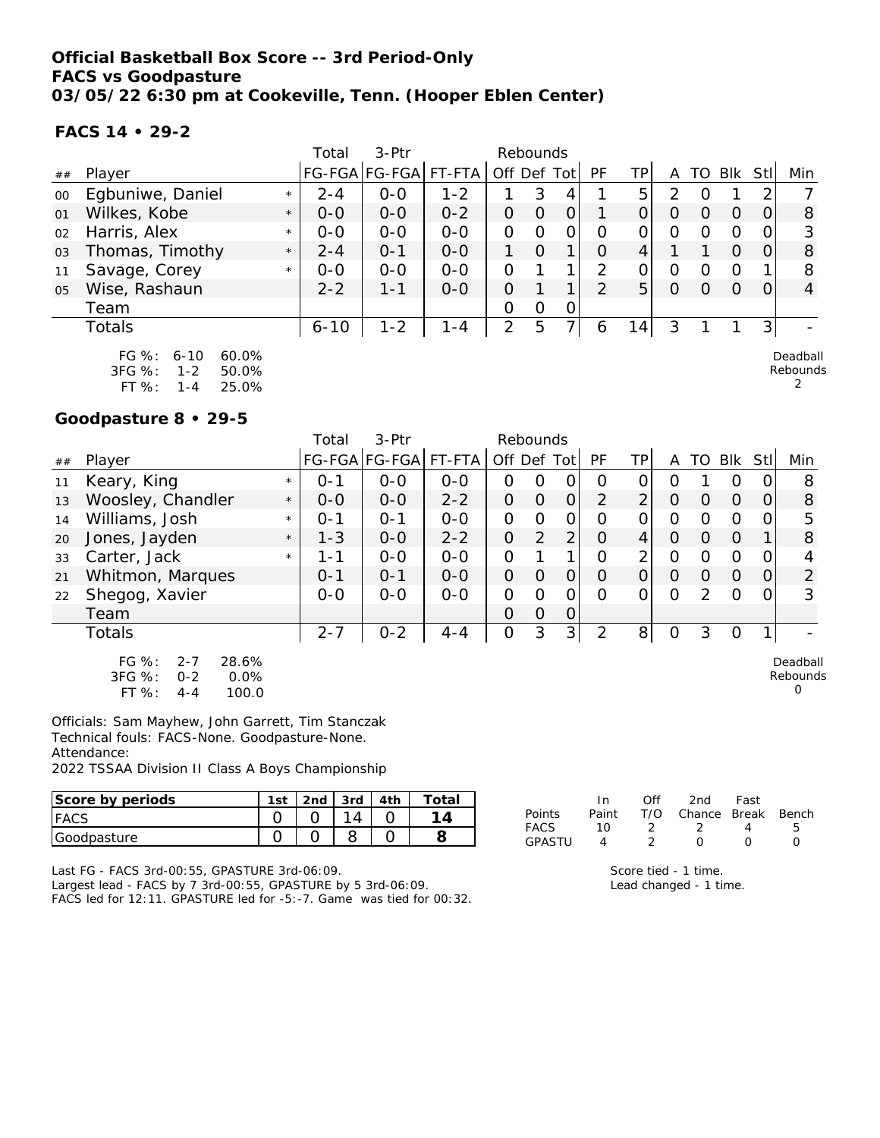### **Official Basketball Box Score -- 3rd Period-Only FACS vs Goodpasture 03/05/22 6:30 pm at Cookeville, Tenn. (Hooper Eblen Center)**

**FACS 14 • 29-2**

|    |                                                                  |         | Total    | 3-Ptr         |         |                | Rebounds |                |           |    |                |          |                |      |                      |
|----|------------------------------------------------------------------|---------|----------|---------------|---------|----------------|----------|----------------|-----------|----|----------------|----------|----------------|------|----------------------|
| ## | Player                                                           |         |          | FG-FGA FG-FGA | FT-FTA  | Off Def Tot    |          |                | <b>PF</b> | TP | A              | TO       | Blk            | Stll | Min                  |
| 00 | Egbuniwe, Daniel                                                 | $\star$ | $2 - 4$  | $O - O$       | $1 - 2$ |                | 3        | 4              |           | 5  | $\mathcal{P}$  | O        |                |      |                      |
| 01 | Wilkes, Kobe                                                     | $\star$ | $O-O$    | $0 - 0$       | $0 - 2$ | O              | 0        | 0              |           | O  | O              | O        | 0              | 0    | 8                    |
| 02 | Harris, Alex                                                     | $\star$ | $0 - 0$  | $0 - 0$       | $0 - 0$ | 0              | 0        | 0              | Ω         | 0  | O              | 0        | 0              | 0    | 3                    |
| 03 | Thomas, Timothy                                                  | $\star$ | $2 - 4$  | $0 - 1$       | $0 - 0$ | 1              | $\Omega$ | $\mathbf{1}$   | $\Omega$  | 4  |                |          | O              | 0    | 8                    |
| 11 | Savage, Corey                                                    | $\star$ | $0 - 0$  | $0 - 0$       | $0 - 0$ | 0              |          | $\mathbf{1}$   | 2         | 0  | O              | O        | $\overline{O}$ |      | 8                    |
| 05 | Wise, Rashaun                                                    |         | $2 - 2$  | $1 - 1$       | $0 - 0$ | O              |          | $\mathbf 1$    | 2         | 5  | $\overline{O}$ | $\Omega$ | $\Omega$       | 0    | 4                    |
|    | Team                                                             |         |          |               |         | O              | 0        | $\overline{O}$ |           |    |                |          |                |      |                      |
|    | Totals                                                           |         | $6 - 10$ | $1 - 2$       | $1 - 4$ | $\overline{2}$ | 5        | 7              | 6         | 14 | 3              |          |                | 3    |                      |
|    | $FG \%$ :<br>60.0%<br>$6 - 10$<br>$3FG \%$ :<br>$1 - 2$<br>50.0% |         |          |               |         |                |          |                |           |    |                |          |                |      | Deadball<br>Rebounds |

Rebounds 2

**Goodpasture 8 • 29-5**

FT %: 1-4 25.0%

|        |                                                        |         | Total   | $3-$ Ptr              |         | Rebounds       |                |                |               |                |   |          |          |      |                      |
|--------|--------------------------------------------------------|---------|---------|-----------------------|---------|----------------|----------------|----------------|---------------|----------------|---|----------|----------|------|----------------------|
| $\#\#$ | Player                                                 |         |         | FG-FGA FG-FGA  FT-FTA |         | Off Def        |                | Totl           | <b>PF</b>     | TP             | A | TO       | Blk      | Stll | Min                  |
| 11     | Keary, King                                            | $\star$ | $O - 1$ | $0-0$                 | $0 - 0$ | O              | Ω              | Ο              | $\Omega$      | Ο              | Ω |          | Ω        |      | 8                    |
| 13     | Woosley, Chandler                                      | $\star$ | $0 - 0$ | $0-0$                 | $2 - 2$ | $\overline{O}$ | $\Omega$       | $\overline{O}$ | 2             | $\overline{2}$ | 0 | O        | $\Omega$ |      | 8                    |
| 14     | Williams, Josh                                         | $\star$ | $0 - 1$ | $0 - 1$               | $0-0$   | $\overline{O}$ | Ω              | 0              | $\Omega$      | 0              | 0 | Ω        | O        |      | 5                    |
| 20     | Jones, Jayden                                          | $\star$ | $1 - 3$ | $0-0$                 | $2 - 2$ | $\overline{O}$ | $\overline{2}$ | 2              | O             | 4              | 0 | $\Omega$ | $\Omega$ |      | 8                    |
| 33     | Carter, Jack                                           | $\star$ | 1-1     | $0-0$                 | $0-0$   | 0              |                |                | Ω             | ⌒              | Ω | Ω        | O        |      |                      |
| 21     | Whitmon, Marques                                       |         | $0 - 1$ | $0 - 1$               | $0 - 0$ | $\Omega$       | O              | Ο              | $\Omega$      | O              | 0 | $\Omega$ | $\Omega$ | Ω    | $\overline{2}$       |
| 22     | Shegog, Xavier                                         |         | $0 - 0$ | $0 - 0$               | $0 - 0$ | O              | O              | 0              | ∩             | ∩              | Ω | っ        | ∩        | O    | 3                    |
|        | Team                                                   |         |         |                       |         | $\Omega$       | O              | 0              |               |                |   |          |          |      |                      |
|        | Totals                                                 |         | $2 - 7$ | $0 - 2$               | $4 - 4$ | $\overline{O}$ | 3              | 3              | $\mathcal{D}$ | 8 <sup>1</sup> | O | 3        | 0        |      |                      |
|        | FG %:<br>28.6%<br>$2 - 7$<br>3FG %:<br>0.0%<br>$0 - 2$ |         |         |                       |         |                |                |                |               |                |   |          |          |      | Deadball<br>Rebounds |

 $\Omega$ 

Officials: Sam Mayhew, John Garrett, Tim Stanczak Technical fouls: FACS-None. Goodpasture-None. Attendance:

FT %: 4-4 100.0

2022 TSSAA Division II Class A Boys Championship

| Score by periods | 1st | 2 <sub>nd</sub> | 3rd | Total |
|------------------|-----|-----------------|-----|-------|
| <b>IFACS</b>     |     |                 |     |       |
| Goodpasture      |     |                 |     |       |

Last FG - FACS 3rd-00:55, GPASTURE 3rd-06:09.

Largest lead - FACS by 7 3rd-00:55, GPASTURE by 5 3rd-06:09. FACS led for 12:11. GPASTURE led for -5:-7. Game was tied for 00:32.

|               | In In          | Off            | 2nd                          | Fast             |   |
|---------------|----------------|----------------|------------------------------|------------------|---|
| <b>Points</b> |                |                | Paint T/O Chance Break Bench |                  |   |
| FACS          | ി റ            | $\overline{2}$ | - 2                          |                  | h |
| <b>GPASTU</b> | $\overline{4}$ | $\mathcal{P}$  | $\Omega$                     | $\left( \right)$ |   |
|               |                |                |                              |                  |   |

Score tied - 1 time. Lead changed - 1 time.